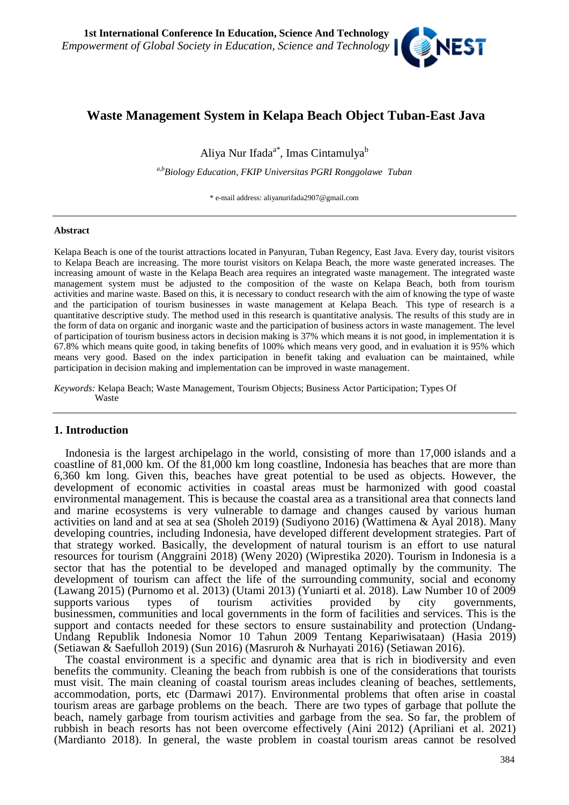

# **Waste Management System in Kelapa Beach Object Tuban-East Java**

Aliya Nur Ifada<sup>a\*</sup>, Imas Cintamulya<sup>b</sup>

*a,bBiology Education, FKIP Universitas PGRI Ronggolawe Tuban*

\* e-mail address: aliyanurifada2907@gmail.com

#### **Abstract**

Kelapa Beach is one of the tourist attractions located in Panyuran, Tuban Regency, East Java. Every day, tourist visitors to Kelapa Beach are increasing. The more tourist visitors on Kelapa Beach, the more waste generated increases. The increasing amount of waste in the Kelapa Beach area requires an integrated waste management. The integrated waste management system must be adjusted to the composition of the waste on Kelapa Beach, both from tourism activities and marine waste. Based on this, it is necessary to conduct research with the aim of knowing the type of waste and the participation of tourism businesses in waste management at Kelapa Beach. This type of research is a quantitative descriptive study. The method used in this research is quantitative analysis. The results of this study are in the form of data on organic and inorganic waste and the participation of business actors in waste management. The level of participation of tourism business actors in decision making is 37% which means it is not good, in implementation it is 67.8% which means quite good, in taking benefits of 100% which means very good, and in evaluation it is 95% which means very good. Based on the index participation in benefit taking and evaluation can be maintained, while participation in decision making and implementation can be improved in waste management.

*Keywords:* Kelapa Beach; Waste Management, Tourism Objects; Business Actor Participation; Types Of Waste

### **1. Introduction**

Indonesia is the largest archipelago in the world, consisting of more than 17,000 islands and a coastline of 81,000 km. Of the 81,000 km long coastline, Indonesia has beaches that are more than 6,360 km long. Given this, beaches have great potential to be used as objects. However, the development of economic activities in coastal areas must be harmonized with good coastal environmental management. This is because the coastal area as a transitional area that connects land and marine ecosystems is very vulnerable to damage and changes caused by various human activities on land and at sea at sea (Sholeh 2019) (Sudiyono 2016) (Wattimena & Ayal 2018). Many developing countries, including Indonesia, have developed different development strategies. Part of that strategy worked. Basically, the development of natural tourism is an effort to use natural resources for tourism (Anggraini 2018) (Weny 2020) (Wiprestika 2020). Tourism in Indonesia is a sector that has the potential to be developed and managed optimally by the community. The development of tourism can affect the life of the surrounding community, social and economy (Lawang 2015) (Purnomo et al. 2013) (Utami 2013) (Yuniarti et al. 2018). Law Number 10 of 2009 supports various types of tourism activities provided by city governments, businessmen, communities and local governments in the form of facilities and services. This is the support and contacts needed for these sectors to ensure sustainability and protection (Undang-Undang Republik Indonesia Nomor 10 Tahun 2009 Tentang Kepariwisataan) (Hasia 2019) (Setiawan & Saefulloh 2019) (Sun 2016) (Masruroh & Nurhayati 2016) (Setiawan 2016).

The coastal environment is a specific and dynamic area that is rich in biodiversity and even benefits the community. Cleaning the beach from rubbish is one of the considerations that tourists must visit. The main cleaning of coastal tourism areas includes cleaning of beaches, settlements, accommodation, ports, etc (Darmawi 2017). Environmental problems that often arise in coastal tourism areas are garbage problems on the beach. There are two types of garbage that pollute the beach, namely garbage from tourism activities and garbage from the sea. So far, the problem of rubbish in beach resorts has not been overcome effectively (Aini 2012) (Apriliani et al. 2021) (Mardianto 2018). In general, the waste problem in coastal tourism areas cannot be resolved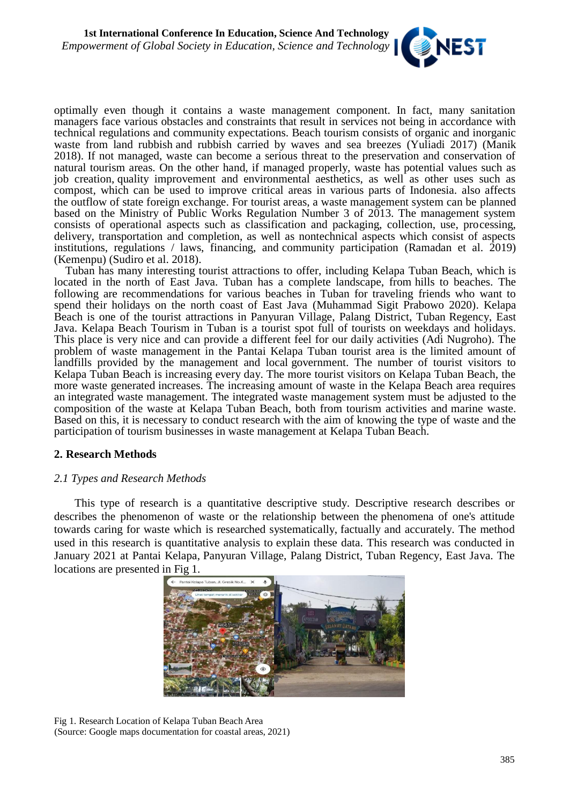

optimally even though it contains a waste management component. In fact, many sanitation managers face various obstacles and constraints that result in services not being in accordance with technical regulations and community expectations. Beach tourism consists of organic and inorganic waste from land rubbish and rubbish carried by waves and sea breezes (Yuliadi 2017) (Manik 2018). If not managed, waste can become a serious threat to the preservation and conservation of natural tourism areas. On the other hand, if managed properly, waste has potential values such as job creation, quality improvement and environmental aesthetics, as well as other uses such as compost, which can be used to improve critical areas in various parts of Indonesia. also affects the outflow of state foreign exchange. For tourist areas, a waste management system can be planned based on the Ministry of Public Works Regulation Number 3 of 2013. The management system consists of operational aspects such as classification and packaging, collection, use, processing, delivery, transportation and completion, as well as nontechnical aspects which consist of aspects institutions, regulations / laws, financing, and community participation (Ramadan et al. 2019) (Kemenpu) (Sudiro et al. 2018).

Tuban has many interesting tourist attractions to offer, including Kelapa Tuban Beach, which is located in the north of East Java. Tuban has a complete landscape, from hills to beaches. The following are recommendations for various beaches in Tuban for traveling friends who want to spend their holidays on the north coast of East Java (Muhammad Sigit Prabowo 2020). Kelapa Beach is one of the tourist attractions in Panyuran Village, Palang District, Tuban Regency, East Java. Kelapa Beach Tourism in Tuban is a tourist spot full of tourists on weekdays and holidays. This place is very nice and can provide a different feel for our daily activities (Adi Nugroho). The problem of waste management in the Pantai Kelapa Tuban tourist area is the limited amount of landfills provided by the management and local government. The number of tourist visitors to Kelapa Tuban Beach is increasing every day. The more tourist visitors on Kelapa Tuban Beach, the more waste generated increases. The increasing amount of waste in the Kelapa Beach area requires an integrated waste management. The integrated waste management system must be adjusted to the composition of the waste at Kelapa Tuban Beach, both from tourism activities and marine waste. Based on this, it is necessary to conduct research with the aim of knowing the type of waste and the participation of tourism businesses in waste management at Kelapa Tuban Beach.

# **2. Research Methods**

# *2.1 Types and Research Methods*

This type of research is a quantitative descriptive study. Descriptive research describes or describes the phenomenon of waste or the relationship between the phenomena of one's attitude towards caring for waste which is researched systematically, factually and accurately. The method used in this research is quantitative analysis to explain these data. This research was conducted in January 2021 at Pantai Kelapa, Panyuran Village, Palang District, Tuban Regency, East Java. The locations are presented in Fig 1.



Fig 1. Research Location of Kelapa Tuban Beach Area (Source: Google maps documentation for coastal areas, 2021)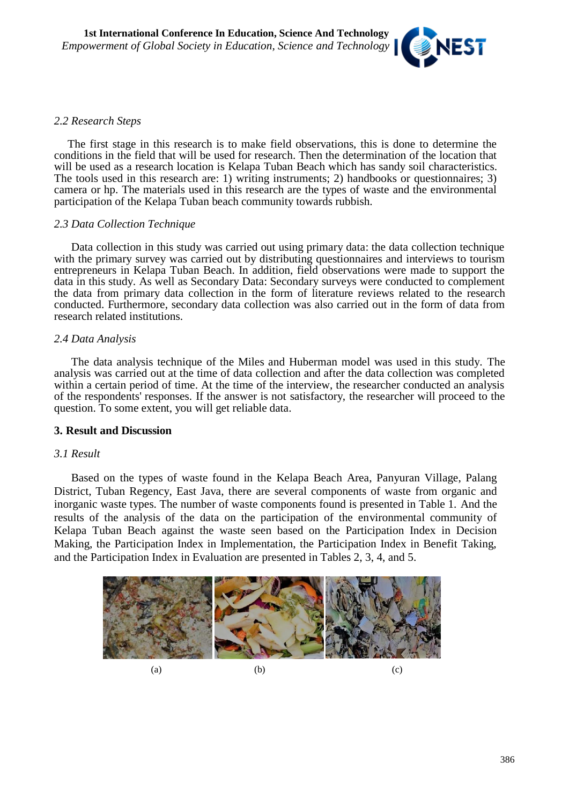

# *2.2 Research Steps*

The first stage in this research is to make field observations, this is done to determine the conditions in the field that will be used for research. Then the determination of the location that will be used as a research location is Kelapa Tuban Beach which has sandy soil characteristics. The tools used in this research are: 1) writing instruments; 2) handbooks or questionnaires; 3) camera or hp. The materials used in this research are the types of waste and the environmental participation of the Kelapa Tuban beach community towards rubbish.

# *2.3 Data Collection Technique*

Data collection in this study was carried out using primary data: the data collection technique with the primary survey was carried out by distributing questionnaires and interviews to tourism entrepreneurs in Kelapa Tuban Beach. In addition, field observations were made to support the data in this study. As well as Secondary Data: Secondary surveys were conducted to complement the data from primary data collection in the form of literature reviews related to the research conducted. Furthermore, secondary data collection was also carried out in the form of data from research related institutions.

# *2.4 Data Analysis*

The data analysis technique of the Miles and Huberman model was used in this study. The analysis was carried out at the time of data collection and after the data collection was completed within a certain period of time. At the time of the interview, the researcher conducted an analysis of the respondents' responses. If the answer is not satisfactory, the researcher will proceed to the question. To some extent, you will get reliable data.

# **3. Result and Discussion**

# *3.1 Result*

Based on the types of waste found in the Kelapa Beach Area, Panyuran Village, Palang District, Tuban Regency, East Java, there are several components of waste from organic and inorganic waste types. The number of waste components found is presented in Table 1. And the results of the analysis of the data on the participation of the environmental community of Kelapa Tuban Beach against the waste seen based on the Participation Index in Decision Making, the Participation Index in Implementation, the Participation Index in Benefit Taking, and the Participation Index in Evaluation are presented in Tables 2, 3, 4, and 5.

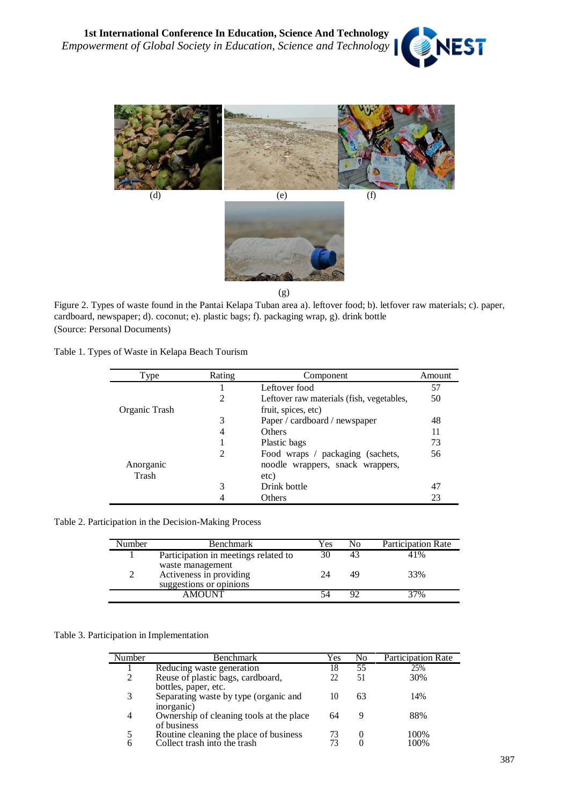





(g)

Figure 2. Types of waste found in the Pantai Kelapa Tuban area a). leftover food; b). letfover raw materials; c). paper, cardboard, newspaper; d). coconut; e). plastic bags; f). packaging wrap, g). drink bottle (Source: Personal Documents)

Table 1. Types of Waste in Kelapa Beach Tourism

| Type          | Rating | Component                                 | Amount |
|---------------|--------|-------------------------------------------|--------|
|               |        | Leftover food                             | 57     |
|               | 2      | Leftover raw materials (fish, vegetables, | 50     |
| Organic Trash |        | fruit, spices, etc)                       |        |
|               | 3      | Paper / cardboard / newspaper             | 48     |
|               | 4      | Others                                    | 11     |
|               |        | Plastic bags                              | 73     |
|               | 2      | Food wraps / packaging (sachets,          | 56     |
| Anorganic     |        | noodle wrappers, snack wrappers,          |        |
| Trash         |        | etc)                                      |        |
|               | 3      | Drink bottle                              | 47     |
|               |        | Others                                    | 23     |

Table 2. Participation in the Decision-Making Process

| Number | <b>Benchmark</b>                                                       | Yes | No. | <b>Participation Rate</b> |
|--------|------------------------------------------------------------------------|-----|-----|---------------------------|
|        | Participation in meetings related to                                   | 30  | 43  | 41%                       |
|        | waste management<br>Activeness in providing<br>suggestions or opinions | 24  | 49  | 33%                       |
|        | <b>AMOUNT</b>                                                          | 54  | 92  | 37%                       |

#### Table 3. Participation in Implementation

| Number | Benchmark                                | Yes | No | <b>Participation Rate</b> |
|--------|------------------------------------------|-----|----|---------------------------|
|        |                                          |     |    |                           |
|        | Reducing waste generation                | 18  | 55 | 25%                       |
| 2      | Reuse of plastic bags, cardboard,        |     | 51 | 30%                       |
|        | bottles, paper, etc.                     |     |    |                           |
| 3      | Separating waste by type (organic and    | 10  | 63 | 14%                       |
|        | inorganic)                               |     |    |                           |
| 4      | Ownership of cleaning tools at the place | 64  |    | 88%                       |
|        | of business                              |     |    |                           |
|        | Routine cleaning the place of business   |     |    | 100%                      |
| 6      | Collect trash into the trash             |     |    | 100%                      |
|        |                                          |     |    |                           |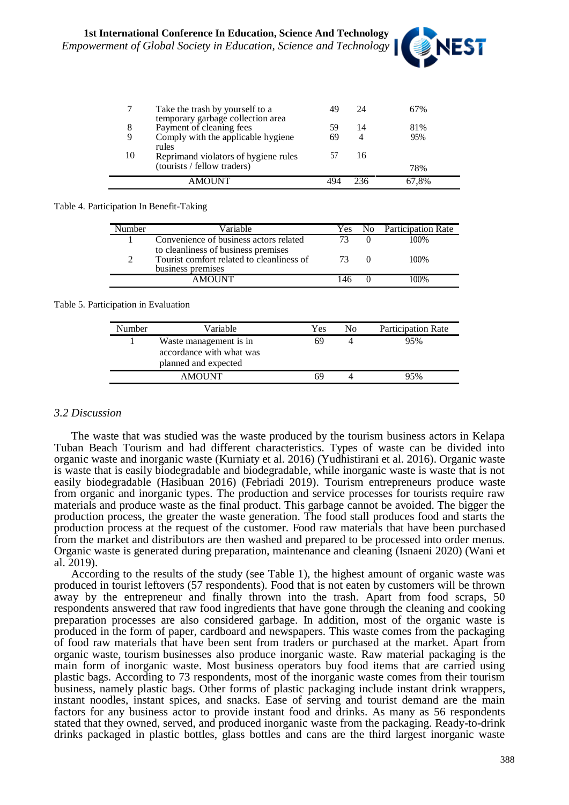

|    | Take the trash by yourself to a<br>temporary garbage collection area | 49 | 24 | 67%   |
|----|----------------------------------------------------------------------|----|----|-------|
| 8  | Payment of cleaning fees                                             | 59 | 14 | 81%   |
| 9  | Comply with the applicable hygiene                                   | 69 | 4  | 95%   |
| 10 | rules<br>Reprimand violators of hygiene rules                        |    | 16 |       |
|    | (tourists / fellow traders)                                          |    |    | 78%   |
|    |                                                                      |    |    | 67.8% |

### Table 4. Participation In Benefit-Taking

| Vumber | Variable                                                                                              | Yes | <b>Participation Rate</b> |
|--------|-------------------------------------------------------------------------------------------------------|-----|---------------------------|
|        | Convenience of business actors related                                                                |     | 100%                      |
|        | to cleanliness of business premises<br>Tourist comfort related to cleanliness of<br>business premises |     | 100%                      |
|        | <b>AMOUNT</b>                                                                                         | 146 | 100%                      |

### Table 5. Participation in Evaluation

| Number | Variable                                                                   | Yes | No | <b>Participation Rate</b> |
|--------|----------------------------------------------------------------------------|-----|----|---------------------------|
|        | Waste management is in<br>accordance with what was<br>planned and expected | 69  |    | 95%                       |
|        | <b>AMOUNT</b>                                                              | 69  |    | 95%                       |

# *3.2 Discussion*

The waste that was studied was the waste produced by the tourism business actors in Kelapa Tuban Beach Tourism and had different characteristics. Types of waste can be divided into organic waste and inorganic waste (Kurniaty et al. 2016) (Yudhistirani et al. 2016). Organic waste is waste that is easily biodegradable and biodegradable, while inorganic waste is waste that is not easily biodegradable (Hasibuan 2016) (Febriadi 2019). Tourism entrepreneurs produce waste from organic and inorganic types. The production and service processes for tourists require raw materials and produce waste as the final product. This garbage cannot be avoided. The bigger the production process, the greater the waste generation. The food stall produces food and starts the production process at the request of the customer. Food raw materials that have been purchased from the market and distributors are then washed and prepared to be processed into order menus. Organic waste is generated during preparation, maintenance and cleaning (Isnaeni 2020) (Wani et al. 2019).

According to the results of the study (see Table 1), the highest amount of organic waste was produced in tourist leftovers (57 respondents). Food that is not eaten by customers will be thrown away by the entrepreneur and finally thrown into the trash. Apart from food scraps, 50 respondents answered that raw food ingredients that have gone through the cleaning and cooking preparation processes are also considered garbage. In addition, most of the organic waste is produced in the form of paper, cardboard and newspapers. This waste comes from the packaging of food raw materials that have been sent from traders or purchased at the market. Apart from organic waste, tourism businesses also produce inorganic waste. Raw material packaging is the main form of inorganic waste. Most business operators buy food items that are carried using plastic bags. According to 73 respondents, most of the inorganic waste comes from their tourism business, namely plastic bags. Other forms of plastic packaging include instant drink wrappers, instant noodles, instant spices, and snacks. Ease of serving and tourist demand are the main factors for any business actor to provide instant food and drinks. As many as 56 respondents stated that they owned, served, and produced inorganic waste from the packaging. Ready-to-drink drinks packaged in plastic bottles, glass bottles and cans are the third largest inorganic waste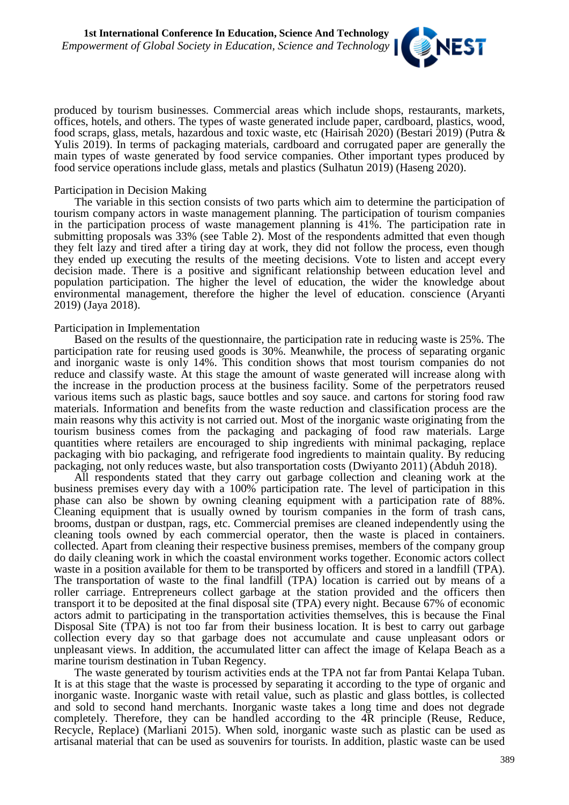

produced by tourism businesses. Commercial areas which include shops, restaurants, markets, offices, hotels, and others. The types of waste generated include paper, cardboard, plastics, wood, food scraps, glass, metals, hazardous and toxic waste, etc (Hairisah 2020) (Bestari 2019) (Putra & Yulis 2019). In terms of packaging materials, cardboard and corrugated paper are generally the main types of waste generated by food service companies. Other important types produced by food service operations include glass, metals and plastics (Sulhatun 2019) (Haseng 2020).

### Participation in Decision Making

The variable in this section consists of two parts which aim to determine the participation of tourism company actors in waste management planning. The participation of tourism companies in the participation process of waste management planning is 41%. The participation rate in submitting proposals was 33% (see Table 2). Most of the respondents admitted that even though they felt lazy and tired after a tiring day at work, they did not follow the process, even though they ended up executing the results of the meeting decisions. Vote to listen and accept every decision made. There is a positive and significant relationship between education level and population participation. The higher the level of education, the wider the knowledge about environmental management, therefore the higher the level of education. conscience (Aryanti 2019) (Jaya 2018).

### Participation in Implementation

Based on the results of the questionnaire, the participation rate in reducing waste is 25%. The participation rate for reusing used goods is 30%. Meanwhile, the process of separating organic and inorganic waste is only 14%. This condition shows that most tourism companies do not reduce and classify waste. At this stage the amount of waste generated will increase along with the increase in the production process at the business facility. Some of the perpetrators reused various items such as plastic bags, sauce bottles and soy sauce. and cartons for storing food raw materials. Information and benefits from the waste reduction and classification process are the main reasons why this activity is not carried out. Most of the inorganic waste originating from the tourism business comes from the packaging and packaging of food raw materials. Large quantities where retailers are encouraged to ship ingredients with minimal packaging, replace packaging with bio packaging, and refrigerate food ingredients to maintain quality. By reducing packaging, not only reduces waste, but also transportation costs (Dwiyanto 2011) (Abduh 2018).

All respondents stated that they carry out garbage collection and cleaning work at the business premises every day with a 100% participation rate. The level of participation in this phase can also be shown by owning cleaning equipment with a participation rate of 88%. Cleaning equipment that is usually owned by tourism companies in the form of trash cans, brooms, dustpan or dustpan, rags, etc. Commercial premises are cleaned independently using the cleaning tools owned by each commercial operator, then the waste is placed in containers. collected. Apart from cleaning their respective business premises, members of the company group do daily cleaning work in which the coastal environment works together. Economic actors collect waste in a position available for them to be transported by officers and stored in a landfill (TPA). The transportation of waste to the final landfill (TPA) location is carried out by means of a roller carriage. Entrepreneurs collect garbage at the station provided and the officers then transport it to be deposited at the final disposal site (TPA) every night. Because 67% of economic actors admit to participating in the transportation activities themselves, this is because the Final Disposal Site (TPA) is not too far from their business location. It is best to carry out garbage collection every day so that garbage does not accumulate and cause unpleasant odors or unpleasant views. In addition, the accumulated litter can affect the image of Kelapa Beach as a marine tourism destination in Tuban Regency.

The waste generated by tourism activities ends at the TPA not far from Pantai Kelapa Tuban. It is at this stage that the waste is processed by separating it according to the type of organic and inorganic waste. Inorganic waste with retail value, such as plastic and glass bottles, is collected and sold to second hand merchants. Inorganic waste takes a long time and does not degrade completely. Therefore, they can be handled according to the 4R principle (Reuse, Reduce, Recycle, Replace) (Marliani 2015). When sold, inorganic waste such as plastic can be used as artisanal material that can be used as souvenirs for tourists. In addition, plastic waste can be used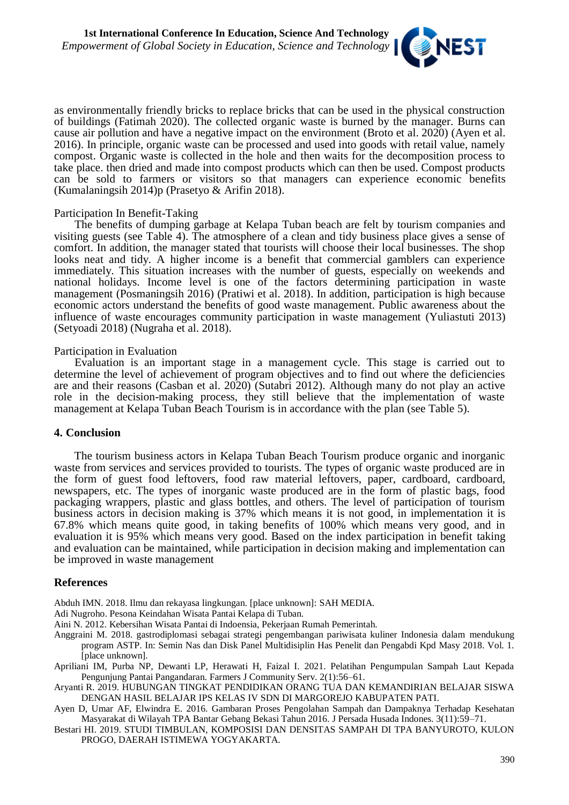

as environmentally friendly bricks to replace bricks that can be used in the physical construction of buildings (Fatimah 2020). The collected organic waste is burned by the manager. Burns can cause air pollution and have a negative impact on the environment (Broto et al. 2020) (Ayen et al. 2016). In principle, organic waste can be processed and used into goods with retail value, namely compost. Organic waste is collected in the hole and then waits for the decomposition process to take place. then dried and made into compost products which can then be used. Compost products can be sold to farmers or visitors so that managers can experience economic benefits (Kumalaningsih 2014)p (Prasetyo & Arifin 2018).

### Participation In Benefit-Taking

The benefits of dumping garbage at Kelapa Tuban beach are felt by tourism companies and visiting guests (see Table 4). The atmosphere of a clean and tidy business place gives a sense of comfort. In addition, the manager stated that tourists will choose their local businesses. The shop looks neat and tidy. A higher income is a benefit that commercial gamblers can experience immediately. This situation increases with the number of guests, especially on weekends and national holidays. Income level is one of the factors determining participation in waste management (Posmaningsih 2016) (Pratiwi et al. 2018). In addition, participation is high because economic actors understand the benefits of good waste management. Public awareness about the influence of waste encourages community participation in waste management (Yuliastuti 2013) (Setyoadi 2018) (Nugraha et al. 2018).

### Participation in Evaluation

Evaluation is an important stage in a management cycle. This stage is carried out to determine the level of achievement of program objectives and to find out where the deficiencies are and their reasons (Casban et al. 2020) (Sutabri 2012). Although many do not play an active role in the decision-making process, they still believe that the implementation of waste management at Kelapa Tuban Beach Tourism is in accordance with the plan (see Table 5).

#### **4. Conclusion**

The tourism business actors in Kelapa Tuban Beach Tourism produce organic and inorganic waste from services and services provided to tourists. The types of organic waste produced are in the form of guest food leftovers, food raw material leftovers, paper, cardboard, cardboard, newspapers, etc. The types of inorganic waste produced are in the form of plastic bags, food packaging wrappers, plastic and glass bottles, and others. The level of participation of tourism business actors in decision making is 37% which means it is not good, in implementation it is 67.8% which means quite good, in taking benefits of 100% which means very good, and in evaluation it is 95% which means very good. Based on the index participation in benefit taking and evaluation can be maintained, while participation in decision making and implementation can be improved in waste management

#### **References**

Abduh IMN. 2018. Ilmu dan rekayasa lingkungan. [place unknown]: SAH MEDIA.

Adi Nugroho. Pesona Keindahan Wisata Pantai Kelapa di Tuban.

Aini N. 2012. Kebersihan Wisata Pantai di Indoensia, Pekerjaan Rumah Pemerintah.

Anggraini M. 2018. gastrodiplomasi sebagai strategi pengembangan pariwisata kuliner Indonesia dalam mendukung program ASTP. In: Semin Nas dan Disk Panel Multidisiplin Has Penelit dan Pengabdi Kpd Masy 2018. Vol. 1. [place unknown].

Apriliani IM, Purba NP, Dewanti LP, Herawati H, Faizal I. 2021. Pelatihan Pengumpulan Sampah Laut Kepada Pengunjung Pantai Pangandaran. Farmers J Community Serv. 2(1):56–61.

Aryanti R. 2019. HUBUNGAN TINGKAT PENDIDIKAN ORANG TUA DAN KEMANDIRIAN BELAJAR SISWA DENGAN HASIL BELAJAR IPS KELAS IV SDN DI MARGOREJO KABUPATEN PATI.

Ayen D, Umar AF, Elwindra E. 2016. Gambaran Proses Pengolahan Sampah dan Dampaknya Terhadap Kesehatan Masyarakat di Wilayah TPA Bantar Gebang Bekasi Tahun 2016. J Persada Husada Indones. 3(11):59–71.

Bestari HI. 2019. STUDI TIMBULAN, KOMPOSISI DAN DENSITAS SAMPAH DI TPA BANYUROTO, KULON PROGO, DAERAH ISTIMEWA YOGYAKARTA.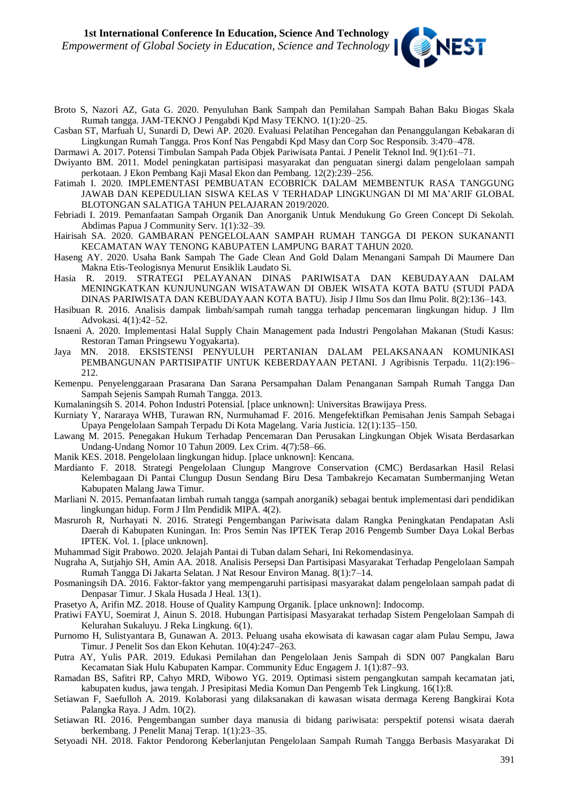

- Broto S, Nazori AZ, Gata G. 2020. Penyuluhan Bank Sampah dan Pemilahan Sampah Bahan Baku Biogas Skala Rumah tangga. JAM-TEKNO J Pengabdi Kpd Masy TEKNO. 1(1):20–25.
- Casban ST, Marfuah U, Sunardi D, Dewi AP. 2020. Evaluasi Pelatihan Pencegahan dan Penanggulangan Kebakaran di Lingkungan Rumah Tangga. Pros Konf Nas Pengabdi Kpd Masy dan Corp Soc Responsib. 3:470–478.
- Darmawi A. 2017. Potensi Timbulan Sampah Pada Objek Pariwisata Pantai. J Penelit Teknol Ind. 9(1):61–71.
- Dwiyanto BM. 2011. Model peningkatan partisipasi masyarakat dan penguatan sinergi dalam pengelolaan sampah perkotaan. J Ekon Pembang Kaji Masal Ekon dan Pembang. 12(2):239–256.
- Fatimah I. 2020. IMPLEMENTASI PEMBUATAN ECOBRICK DALAM MEMBENTUK RASA TANGGUNG JAWAB DAN KEPEDULIAN SISWA KELAS V TERHADAP LINGKUNGAN DI MI MA'ARIF GLOBAL BLOTONGAN SALATIGA TAHUN PELAJARAN 2019/2020.
- Febriadi I. 2019. Pemanfaatan Sampah Organik Dan Anorganik Untuk Mendukung Go Green Concept Di Sekolah. Abdimas Papua J Community Serv. 1(1):32–39.
- Hairisah SA. 2020. GAMBARAN PENGELOLAAN SAMPAH RUMAH TANGGA DI PEKON SUKANANTI KECAMATAN WAY TENONG KABUPATEN LAMPUNG BARAT TAHUN 2020.
- Haseng AY. 2020. Usaha Bank Sampah The Gade Clean And Gold Dalam Menangani Sampah Di Maumere Dan Makna Etis-Teologisnya Menurut Ensiklik Laudato Si.
- Hasia R. 2019. STRATEGI PELAYANAN DINAS PARIWISATA DAN KEBUDAYAAN DALAM MENINGKATKAN KUNJUNUNGAN WISATAWAN DI OBJEK WISATA KOTA BATU (STUDI PADA DINAS PARIWISATA DAN KEBUDAYAAN KOTA BATU). Jisip J Ilmu Sos dan Ilmu Polit. 8(2):136–143.
- Hasibuan R. 2016. Analisis dampak limbah/sampah rumah tangga terhadap pencemaran lingkungan hidup. J Ilm Advokasi. 4(1):42–52.
- Isnaeni A. 2020. Implementasi Halal Supply Chain Management pada Industri Pengolahan Makanan (Studi Kasus: Restoran Taman Pringsewu Yogyakarta).
- Jaya MN. 2018. EKSISTENSI PENYULUH PERTANIAN DALAM PELAKSANAAN KOMUNIKASI PEMBANGUNAN PARTISIPATIF UNTUK KEBERDAYAAN PETANI. J Agribisnis Terpadu. 11(2):196– 212.
- Kemenpu. Penyelenggaraan Prasarana Dan Sarana Persampahan Dalam Penanganan Sampah Rumah Tangga Dan Sampah Sejenis Sampah Rumah Tangga. 2013.
- Kumalaningsih S. 2014. Pohon Industri Potensial. [place unknown]: Universitas Brawijaya Press.
- Kurniaty Y, Nararaya WHB, Turawan RN, Nurmuhamad F. 2016. Mengefektifkan Pemisahan Jenis Sampah Sebagai Upaya Pengelolaan Sampah Terpadu Di Kota Magelang. Varia Justicia. 12(1):135–150.
- Lawang M. 2015. Penegakan Hukum Terhadap Pencemaran Dan Perusakan Lingkungan Objek Wisata Berdasarkan Undang-Undang Nomor 10 Tahun 2009. Lex Crim. 4(7):58–66.
- Manik KES. 2018. Pengelolaan lingkungan hidup. [place unknown]: Kencana.
- Mardianto F. 2018. Strategi Pengelolaan Clungup Mangrove Conservation (CMC) Berdasarkan Hasil Relasi Kelembagaan Di Pantai Clungup Dusun Sendang Biru Desa Tambakrejo Kecamatan Sumbermanjing Wetan Kabupaten Malang Jawa Timur.
- Marliani N. 2015. Pemanfaatan limbah rumah tangga (sampah anorganik) sebagai bentuk implementasi dari pendidikan lingkungan hidup. Form J Ilm Pendidik MIPA. 4(2).
- Masruroh R, Nurhayati N. 2016. Strategi Pengembangan Pariwisata dalam Rangka Peningkatan Pendapatan Asli Daerah di Kabupaten Kuningan. In: Pros Semin Nas IPTEK Terap 2016 Pengemb Sumber Daya Lokal Berbas IPTEK. Vol. 1. [place unknown].
- Muhammad Sigit Prabowo. 2020. Jelajah Pantai di Tuban dalam Sehari, Ini Rekomendasinya.
- Nugraha A, Sutjahjo SH, Amin AA. 2018. Analisis Persepsi Dan Partisipasi Masyarakat Terhadap Pengelolaan Sampah Rumah Tangga Di Jakarta Selatan. J Nat Resour Environ Manag. 8(1):7–14.
- Posmaningsih DA. 2016. Faktor-faktor yang mempengaruhi partisipasi masyarakat dalam pengelolaan sampah padat di Denpasar Timur. J Skala Husada J Heal. 13(1).
- Prasetyo A, Arifin MZ. 2018. House of Quality Kampung Organik. [place unknown]: Indocomp.
- Pratiwi FAYU, Soemirat J, Ainun S. 2018. Hubungan Partisipasi Masyarakat terhadap Sistem Pengelolaan Sampah di Kelurahan Sukaluyu. J Reka Lingkung. 6(1).
- Purnomo H, Sulistyantara B, Gunawan A. 2013. Peluang usaha ekowisata di kawasan cagar alam Pulau Sempu, Jawa Timur. J Penelit Sos dan Ekon Kehutan. 10(4):247–263.
- Putra AY, Yulis PAR. 2019. Edukasi Pemilahan dan Pengelolaan Jenis Sampah di SDN 007 Pangkalan Baru Kecamatan Siak Hulu Kabupaten Kampar. Community Educ Engagem J. 1(1):87–93.
- Ramadan BS, Safitri RP, Cahyo MRD, Wibowo YG. 2019. Optimasi sistem pengangkutan sampah kecamatan jati, kabupaten kudus, jawa tengah. J Presipitasi Media Komun Dan Pengemb Tek Lingkung. 16(1):8.
- Setiawan F, Saefulloh A. 2019. Kolaborasi yang dilaksanakan di kawasan wisata dermaga Kereng Bangkirai Kota Palangka Raya. J Adm. 10(2).
- Setiawan RI. 2016. Pengembangan sumber daya manusia di bidang pariwisata: perspektif potensi wisata daerah berkembang. J Penelit Manaj Terap. 1(1):23–35.
- Setyoadi NH. 2018. Faktor Pendorong Keberlanjutan Pengelolaan Sampah Rumah Tangga Berbasis Masyarakat Di